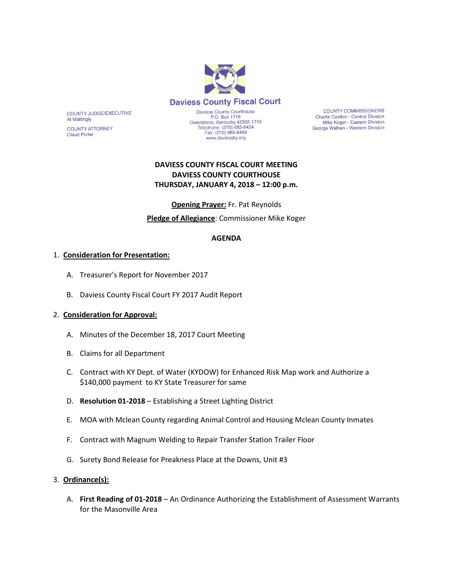

**COUNTY COMMISSIONERS** Charlie Castlen - Central Division Mike Koger - Eastern Division George Wathen - Western Division

# **DAVIESS COUNTY FISCAL COURT MEETING DAVIESS COUNTY COURTHOUSE THURSDAY, JANUARY 4, 2018 – 12:00 p.m.**

**Opening Prayer:** Fr. Pat Reynolds **Pledge of Allegiance**: Commissioner Mike Koger

#### **AGENDA**

#### 1. **Consideration for Presentation:**

COUNTY JUDGE/EXECUTIVE

**COUNTY ATTORNEY** 

Al Mattingly

**Claud Porter** 

- A. Treasurer's Report for November 2017
- B. Daviess County Fiscal Court FY 2017 Audit Report

#### 2. **Consideration for Approval:**

- A. Minutes of the December 18, 2017 Court Meeting
- B. Claims for all Department
- C. Contract with KY Dept. of Water (KYDOW) for Enhanced Risk Map work and Authorize a \$140,000 payment to KY State Treasurer for same
- D. **Resolution 01-2018** Establishing a Street Lighting District
- E. MOA with Mclean County regarding Animal Control and Housing Mclean County Inmates
- F. Contract with Magnum Welding to Repair Transfer Station Trailer Floor
- G. Surety Bond Release for Preakness Place at the Downs, Unit #3

## 3. **Ordinance(s):**

A. **First Reading of 01-2018** – An Ordinance Authorizing the Establishment of Assessment Warrants for the Masonville Area